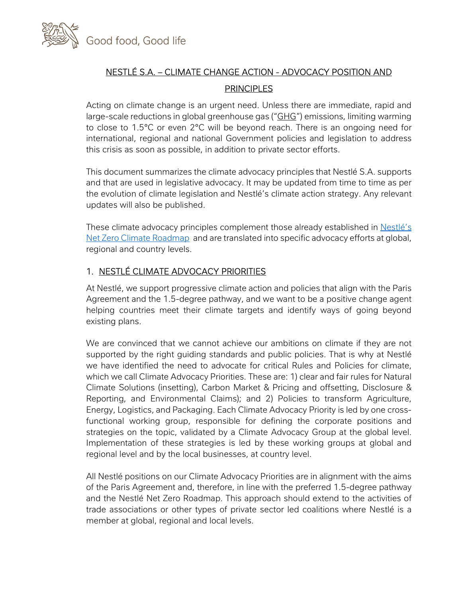

# NESTLÉ S.A. – CLIMATE CHANGE ACTION - ADVOCACY POSITION AND **PRINCIPLES**

Acting on climate change is an urgent need. Unless there are immediate, rapid and large-scale reductions in global greenhouse gas ("GHG") emissions, limiting warming to close to 1.5°C or even 2°C will be beyond reach. There is an ongoing need for international, regional and national Government policies and legislation to address this crisis as soon as possible, in addition to private sector efforts.

This document summarizes the climate advocacy principles that Nestlé S.A. supports and that are used in legislative advocacy. It may be updated from time to time as per the evolution of climate legislation and Nestlé's climate action strategy. Any relevant updates will also be published.

These climate advocacy principles complement those already established in Nestlé's Net Zero Climate Roadmap and are translated into specific advocacy efforts at global, regional and country levels.

## 1. NESTLÉ CLIMATE ADVOCACY PRIORITIES

At Nestlé, we support progressive climate action and policies that align with the Paris Agreement and the 1.5-degree pathway, and we want to be a positive change agent helping countries meet their climate targets and identify ways of going beyond existing plans.

We are convinced that we cannot achieve our ambitions on climate if they are not supported by the right guiding standards and public policies. That is why at Nestlé we have identified the need to advocate for critical Rules and Policies for climate, which we call Climate Advocacy Priorities. These are: 1) clear and fair rules for Natural Climate Solutions (insetting), Carbon Market & Pricing and offsetting, Disclosure & Reporting, and Environmental Claims); and 2) Policies to transform Agriculture, Energy, Logistics, and Packaging. Each Climate Advocacy Priority is led by one crossfunctional working group, responsible for defining the corporate positions and strategies on the topic, validated by a Climate Advocacy Group at the global level. Implementation of these strategies is led by these working groups at global and regional level and by the local businesses, at country level.

All Nestlé positions on our Climate Advocacy Priorities are in alignment with the aims of the Paris Agreement and, therefore, in line with the preferred 1.5-degree pathway and the Nestlé Net Zero Roadmap. This approach should extend to the activities of trade associations or other types of private sector led coalitions where Nestlé is a member at global, regional and local levels.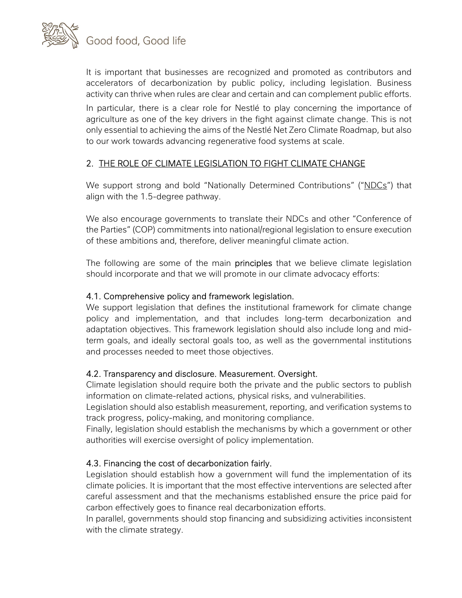

It is important that businesses are recognized and promoted as contributors and accelerators of decarbonization by public policy, including legislation. Business activity can thrive when rules are clear and certain and can complement public efforts.

In particular, there is a clear role for Nestlé to play concerning the importance of agriculture as one of the key drivers in the fight against climate change. This is not only essential to achieving the aims of the Nestlé Net Zero Climate Roadmap, but also to our work towards advancing regenerative food systems at scale.

## 2. THE ROLE OF CLIMATE LEGISLATION TO FIGHT CLIMATE CHANGE

We support strong and bold "Nationally Determined Contributions" ("NDCs") that align with the 1.5-degree pathway.

We also encourage governments to translate their NDCs and other "Conference of the Parties" (COP) commitments into national/regional legislation to ensure execution of these ambitions and, therefore, deliver meaningful climate action.

The following are some of the main **principles** that we believe climate legislation should incorporate and that we will promote in our climate advocacy efforts:

#### 4.1. Comprehensive policy and framework legislation.

We support legislation that defines the institutional framework for climate change policy and implementation, and that includes long-term decarbonization and adaptation objectives. This framework legislation should also include long and midterm goals, and ideally sectoral goals too, as well as the governmental institutions and processes needed to meet those objectives.

#### 4.2. Transparency and disclosure. Measurement. Oversight.

Climate legislation should require both the private and the public sectors to publish information on climate-related actions, physical risks, and vulnerabilities.

Legislation should also establish measurement, reporting, and verification systems to track progress, policy-making, and monitoring compliance.

Finally, legislation should establish the mechanisms by which a government or other authorities will exercise oversight of policy implementation.

#### 4.3. Financing the cost of decarbonization fairly.

Legislation should establish how a government will fund the implementation of its climate policies. It is important that the most effective interventions are selected after careful assessment and that the mechanisms established ensure the price paid for carbon effectively goes to finance real decarbonization efforts.

In parallel, governments should stop financing and subsidizing activities inconsistent with the climate strategy.